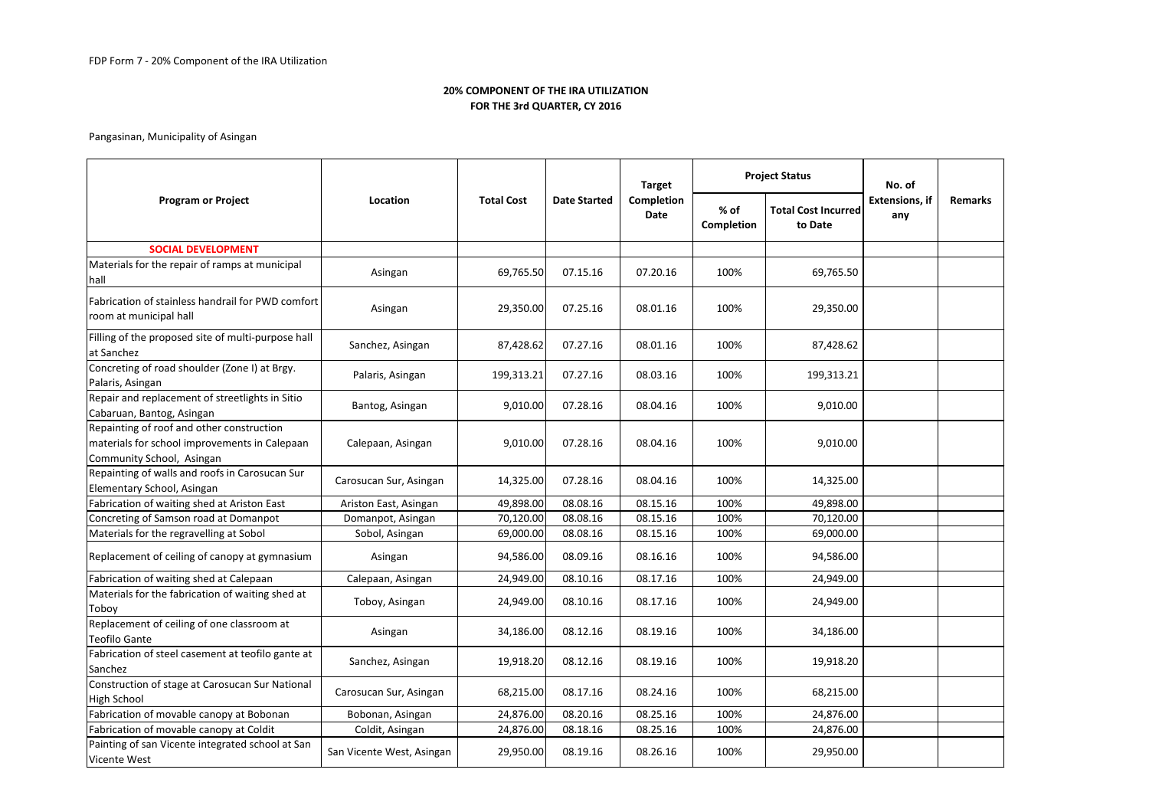Pangasinan, Municipality of Asingan

| <b>Program or Project</b>                                                                                               | Location                  | <b>Total Cost</b> | <b>Date Started</b> | <b>Target</b><br><b>Completion</b><br><b>Date</b> | <b>Project Status</b>     |                                       | No. of                       |                |
|-------------------------------------------------------------------------------------------------------------------------|---------------------------|-------------------|---------------------|---------------------------------------------------|---------------------------|---------------------------------------|------------------------------|----------------|
|                                                                                                                         |                           |                   |                     |                                                   | % of<br><b>Completion</b> | <b>Total Cost Incurred</b><br>to Date | <b>Extensions, if</b><br>any | <b>Remarks</b> |
| <b>SOCIAL DEVELOPMENT</b>                                                                                               |                           |                   |                     |                                                   |                           |                                       |                              |                |
| Materials for the repair of ramps at municipal<br>hall                                                                  | Asingan                   | 69,765.50         | 07.15.16            | 07.20.16                                          | 100%                      | 69,765.50                             |                              |                |
| Fabrication of stainless handrail for PWD comfort<br>room at municipal hall                                             | Asingan                   | 29,350.00         | 07.25.16            | 08.01.16                                          | 100%                      | 29,350.00                             |                              |                |
| Filling of the proposed site of multi-purpose hall<br>at Sanchez                                                        | Sanchez, Asingan          | 87,428.62         | 07.27.16            | 08.01.16                                          | 100%                      | 87,428.62                             |                              |                |
| Concreting of road shoulder (Zone I) at Brgy.<br>Palaris, Asingan                                                       | Palaris, Asingan          | 199,313.21        | 07.27.16            | 08.03.16                                          | 100%                      | 199,313.21                            |                              |                |
| Repair and replacement of streetlights in Sitio<br>Cabaruan, Bantog, Asingan                                            | Bantog, Asingan           | 9,010.00          | 07.28.16            | 08.04.16                                          | 100%                      | 9,010.00                              |                              |                |
| Repainting of roof and other construction<br>materials for school improvements in Calepaan<br>Community School, Asingan | Calepaan, Asingan         | 9,010.00          | 07.28.16            | 08.04.16                                          | 100%                      | 9,010.00                              |                              |                |
| Repainting of walls and roofs in Carosucan Sur<br>Elementary School, Asingan                                            | Carosucan Sur, Asingan    | 14,325.00         | 07.28.16            | 08.04.16                                          | 100%                      | 14,325.00                             |                              |                |
| Fabrication of waiting shed at Ariston East                                                                             | Ariston East, Asingan     | 49,898.00         | 08.08.16            | 08.15.16                                          | 100%                      | 49,898.00                             |                              |                |
| Concreting of Samson road at Domanpot                                                                                   | Domanpot, Asingan         | 70,120.00         | 08.08.16            | 08.15.16                                          | 100%                      | 70,120.00                             |                              |                |
| Materials for the regravelling at Sobol                                                                                 | Sobol, Asingan            | 69,000.00         | 08.08.16            | 08.15.16                                          | 100%                      | 69,000.00                             |                              |                |
| Replacement of ceiling of canopy at gymnasium                                                                           | Asingan                   | 94,586.00         | 08.09.16            | 08.16.16                                          | 100%                      | 94,586.00                             |                              |                |
| Fabrication of waiting shed at Calepaan                                                                                 | Calepaan, Asingan         | 24,949.00         | 08.10.16            | 08.17.16                                          | 100%                      | 24,949.00                             |                              |                |
| Materials for the fabrication of waiting shed at<br>Toboy                                                               | Toboy, Asingan            | 24,949.00         | 08.10.16            | 08.17.16                                          | 100%                      | 24,949.00                             |                              |                |
| Replacement of ceiling of one classroom at<br><b>Teofilo Gante</b>                                                      | Asingan                   | 34,186.00         | 08.12.16            | 08.19.16                                          | 100%                      | 34,186.00                             |                              |                |
| Fabrication of steel casement at teofilo gante at<br>Sanchez                                                            | Sanchez, Asingan          | 19,918.20         | 08.12.16            | 08.19.16                                          | 100%                      | 19,918.20                             |                              |                |
| Construction of stage at Carosucan Sur National<br><b>High School</b>                                                   | Carosucan Sur, Asingan    | 68,215.00         | 08.17.16            | 08.24.16                                          | 100%                      | 68,215.00                             |                              |                |
| Fabrication of movable canopy at Bobonan                                                                                | Bobonan, Asingan          | 24,876.00         | 08.20.16            | 08.25.16                                          | 100%                      | 24,876.00                             |                              |                |
| Fabrication of movable canopy at Coldit                                                                                 | Coldit, Asingan           | 24,876.00         | 08.18.16            | 08.25.16                                          | 100%                      | 24,876.00                             |                              |                |
| Painting of san Vicente integrated school at San<br>Vicente West                                                        | San Vicente West, Asingan | 29,950.00         | 08.19.16            | 08.26.16                                          | 100%                      | 29,950.00                             |                              |                |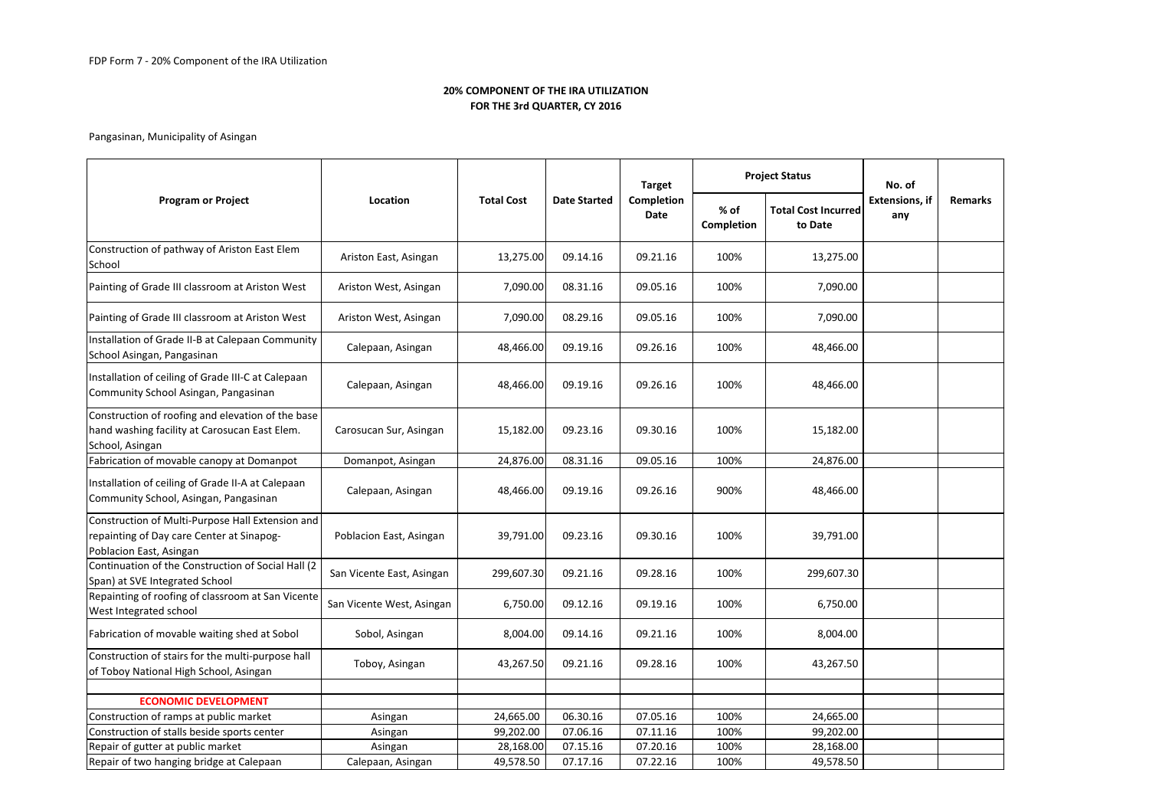# Pangasinan, Municipality of Asingan

| <b>Program or Project</b>                                                                                                | Location                  | <b>Total Cost</b> | <b>Date Started</b> | <b>Target</b><br><b>Completion</b><br><b>Date</b> | <b>Project Status</b> |                                       | No. of                       |                |
|--------------------------------------------------------------------------------------------------------------------------|---------------------------|-------------------|---------------------|---------------------------------------------------|-----------------------|---------------------------------------|------------------------------|----------------|
|                                                                                                                          |                           |                   |                     |                                                   | % of<br>Completion    | <b>Total Cost Incurred</b><br>to Date | <b>Extensions, if</b><br>any | <b>Remarks</b> |
| Construction of pathway of Ariston East Elem<br>School                                                                   | Ariston East, Asingan     | 13,275.00         | 09.14.16            | 09.21.16                                          | 100%                  | 13,275.00                             |                              |                |
| Painting of Grade III classroom at Ariston West                                                                          | Ariston West, Asingan     | 7,090.00          | 08.31.16            | 09.05.16                                          | 100%                  | 7,090.00                              |                              |                |
| Painting of Grade III classroom at Ariston West                                                                          | Ariston West, Asingan     | 7,090.00          | 08.29.16            | 09.05.16                                          | 100%                  | 7,090.00                              |                              |                |
| Installation of Grade II-B at Calepaan Community<br>School Asingan, Pangasinan                                           | Calepaan, Asingan         | 48,466.00         | 09.19.16            | 09.26.16                                          | 100%                  | 48,466.00                             |                              |                |
| Installation of ceiling of Grade III-C at Calepaan<br>Community School Asingan, Pangasinan                               | Calepaan, Asingan         | 48,466.00         | 09.19.16            | 09.26.16                                          | 100%                  | 48,466.00                             |                              |                |
| Construction of roofing and elevation of the base<br>hand washing facility at Carosucan East Elem.<br>School, Asingan    | Carosucan Sur, Asingan    | 15,182.00         | 09.23.16            | 09.30.16                                          | 100%                  | 15,182.00                             |                              |                |
| Fabrication of movable canopy at Domanpot                                                                                | Domanpot, Asingan         | 24,876.00         | 08.31.16            | 09.05.16                                          | 100%                  | 24,876.00                             |                              |                |
| Installation of ceiling of Grade II-A at Calepaan<br>Community School, Asingan, Pangasinan                               | Calepaan, Asingan         | 48,466.00         | 09.19.16            | 09.26.16                                          | 900%                  | 48,466.00                             |                              |                |
| Construction of Multi-Purpose Hall Extension and<br>repainting of Day care Center at Sinapog-<br>Poblacion East, Asingan | Poblacion East, Asingan   | 39,791.00         | 09.23.16            | 09.30.16                                          | 100%                  | 39,791.00                             |                              |                |
| Continuation of the Construction of Social Hall (2<br>Span) at SVE Integrated School                                     | San Vicente East, Asingan | 299,607.30        | 09.21.16            | 09.28.16                                          | 100%                  | 299,607.30                            |                              |                |
| Repainting of roofing of classroom at San Vicente<br>West Integrated school                                              | San Vicente West, Asingan | 6,750.00          | 09.12.16            | 09.19.16                                          | 100%                  | 6,750.00                              |                              |                |
| Fabrication of movable waiting shed at Sobol                                                                             | Sobol, Asingan            | 8,004.00          | 09.14.16            | 09.21.16                                          | 100%                  | 8,004.00                              |                              |                |
| Construction of stairs for the multi-purpose hall<br>of Toboy National High School, Asingan                              | Toboy, Asingan            | 43,267.50         | 09.21.16            | 09.28.16                                          | 100%                  | 43,267.50                             |                              |                |
|                                                                                                                          |                           |                   |                     |                                                   |                       |                                       |                              |                |
| <b>ECONOMIC DEVELOPMENT</b>                                                                                              |                           |                   |                     |                                                   |                       |                                       |                              |                |
| Construction of ramps at public market                                                                                   | Asingan                   | 24,665.00         | 06.30.16            | 07.05.16                                          | 100%                  | 24,665.00                             |                              |                |
| Construction of stalls beside sports center                                                                              | Asingan                   | 99,202.00         | 07.06.16            | 07.11.16                                          | 100%                  | 99,202.00                             |                              |                |
| Repair of gutter at public market                                                                                        | Asingan                   | 28,168.00         | 07.15.16            | 07.20.16                                          | 100%                  | 28,168.00                             |                              |                |
| Repair of two hanging bridge at Calepaan                                                                                 | Calepaan, Asingan         | 49,578.50         | 07.17.16            | 07.22.16                                          | 100%                  | 49,578.50                             |                              |                |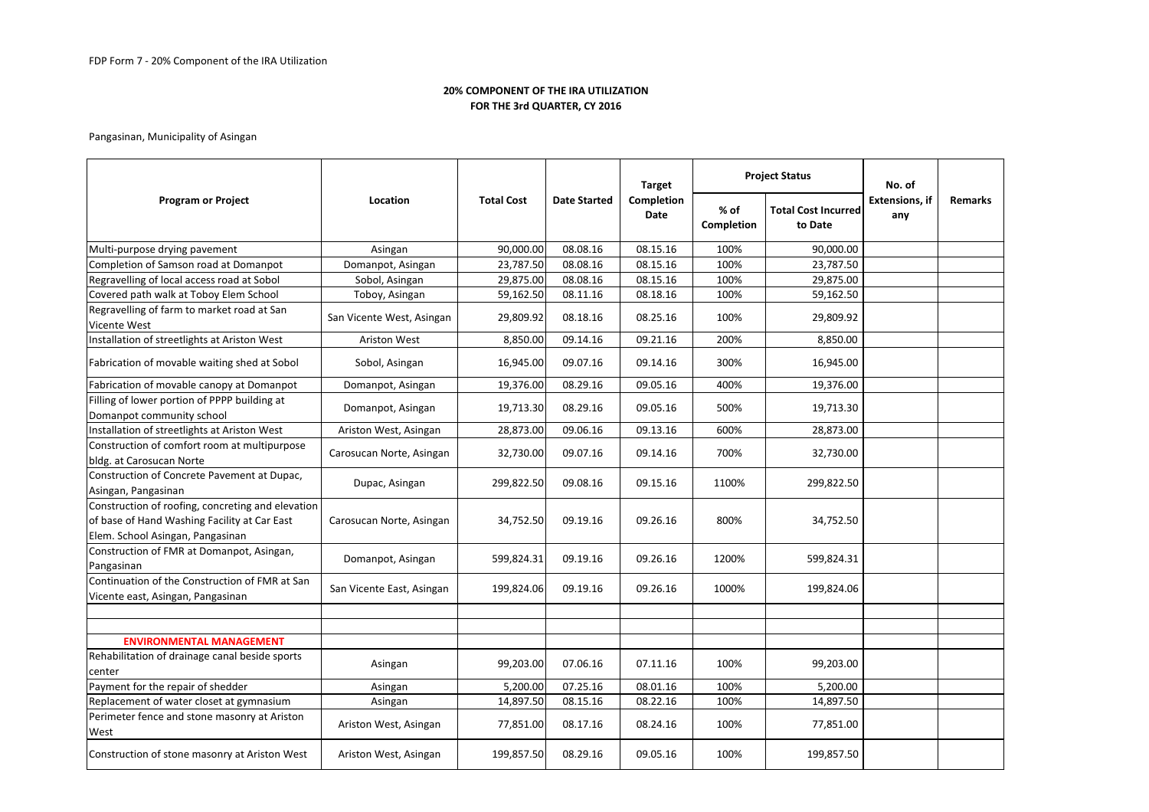Pangasinan, Municipality of Asingan

| <b>Program or Project</b>                                                                                                             | Location                  | <b>Total Cost</b> | <b>Date Started</b> | <b>Target</b><br><b>Completion</b><br>Date | <b>Project Status</b>       |                                       | No. of                       |                |
|---------------------------------------------------------------------------------------------------------------------------------------|---------------------------|-------------------|---------------------|--------------------------------------------|-----------------------------|---------------------------------------|------------------------------|----------------|
|                                                                                                                                       |                           |                   |                     |                                            | $%$ of<br><b>Completion</b> | <b>Total Cost Incurred</b><br>to Date | <b>Extensions, if</b><br>any | <b>Remarks</b> |
| Multi-purpose drying pavement                                                                                                         | Asingan                   | 90,000.00         | 08.08.16            | 08.15.16                                   | 100%                        | 90,000.00                             |                              |                |
| Completion of Samson road at Domanpot                                                                                                 | Domanpot, Asingan         | 23,787.50         | 08.08.16            | 08.15.16                                   | 100%                        | 23,787.50                             |                              |                |
| Regravelling of local access road at Sobol                                                                                            | Sobol, Asingan            | 29,875.00         | 08.08.16            | 08.15.16                                   | 100%                        | 29,875.00                             |                              |                |
| Covered path walk at Toboy Elem School                                                                                                | Toboy, Asingan            | 59,162.50         | 08.11.16            | 08.18.16                                   | 100%                        | 59,162.50                             |                              |                |
| Regravelling of farm to market road at San<br><b>Vicente West</b>                                                                     | San Vicente West, Asingan | 29,809.92         | 08.18.16            | 08.25.16                                   | 100%                        | 29,809.92                             |                              |                |
| Installation of streetlights at Ariston West                                                                                          | <b>Ariston West</b>       | 8,850.00          | 09.14.16            | 09.21.16                                   | 200%                        | 8,850.00                              |                              |                |
| Fabrication of movable waiting shed at Sobol                                                                                          | Sobol, Asingan            | 16,945.00         | 09.07.16            | 09.14.16                                   | 300%                        | 16,945.00                             |                              |                |
| Fabrication of movable canopy at Domanpot                                                                                             | Domanpot, Asingan         | 19,376.00         | 08.29.16            | 09.05.16                                   | 400%                        | 19,376.00                             |                              |                |
| Filling of lower portion of PPPP building at<br>Domanpot community school                                                             | Domanpot, Asingan         | 19,713.30         | 08.29.16            | 09.05.16                                   | 500%                        | 19,713.30                             |                              |                |
| Installation of streetlights at Ariston West                                                                                          | Ariston West, Asingan     | 28,873.00         | 09.06.16            | 09.13.16                                   | 600%                        | 28,873.00                             |                              |                |
| Construction of comfort room at multipurpose<br>bldg. at Carosucan Norte                                                              | Carosucan Norte, Asingan  | 32,730.00         | 09.07.16            | 09.14.16                                   | 700%                        | 32,730.00                             |                              |                |
| Construction of Concrete Pavement at Dupac,<br>Asingan, Pangasinan                                                                    | Dupac, Asingan            | 299,822.50        | 09.08.16            | 09.15.16                                   | 1100%                       | 299,822.50                            |                              |                |
| Construction of roofing, concreting and elevation<br>of base of Hand Washing Facility at Car East<br>Elem. School Asingan, Pangasinan | Carosucan Norte, Asingan  | 34,752.50         | 09.19.16            | 09.26.16                                   | 800%                        | 34,752.50                             |                              |                |
| Construction of FMR at Domanpot, Asingan,<br>Pangasinan                                                                               | Domanpot, Asingan         | 599,824.31        | 09.19.16            | 09.26.16                                   | 1200%                       | 599,824.31                            |                              |                |
| Continuation of the Construction of FMR at San<br>Vicente east, Asingan, Pangasinan                                                   | San Vicente East, Asingan | 199,824.06        | 09.19.16            | 09.26.16                                   | 1000%                       | 199,824.06                            |                              |                |
|                                                                                                                                       |                           |                   |                     |                                            |                             |                                       |                              |                |
|                                                                                                                                       |                           |                   |                     |                                            |                             |                                       |                              |                |
| <b>ENVIRONMENTAL MANAGEMENT</b>                                                                                                       |                           |                   |                     |                                            |                             |                                       |                              |                |
| Rehabilitation of drainage canal beside sports<br>center                                                                              | Asingan                   | 99,203.00         | 07.06.16            | 07.11.16                                   | 100%                        | 99,203.00                             |                              |                |
| Payment for the repair of shedder                                                                                                     | Asingan                   | 5,200.00          | 07.25.16            | 08.01.16                                   | 100%                        | 5,200.00                              |                              |                |
| Replacement of water closet at gymnasium                                                                                              | Asingan                   | 14,897.50         | 08.15.16            | 08.22.16                                   | 100%                        | 14,897.50                             |                              |                |
| Perimeter fence and stone masonry at Ariston<br>West                                                                                  | Ariston West, Asingan     | 77,851.00         | 08.17.16            | 08.24.16                                   | 100%                        | 77,851.00                             |                              |                |
| Construction of stone masonry at Ariston West                                                                                         | Ariston West, Asingan     | 199,857.50        | 08.29.16            | 09.05.16                                   | 100%                        | 199,857.50                            |                              |                |